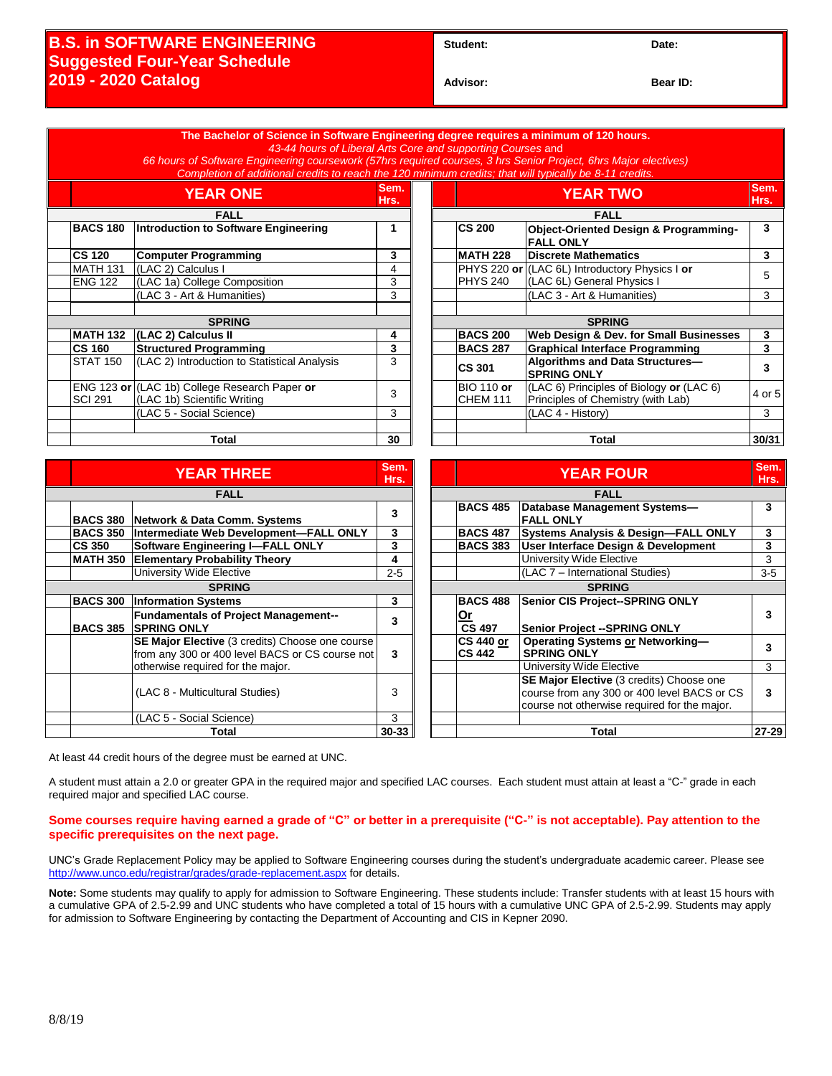## **B.S. in SOFTWARE ENGINEERING Suggested Four-Year Schedule 2019 - 2020 Catalog**

Student: Date:

**Advisor: Bear ID:** 

|               |                                                                                                                                            | The Bachelor of Science in Software Engineering degree requires a minimum of 120 hours.<br>43-44 hours of Liberal Arts Core and supporting Courses and<br>66 hours of Software Engineering coursework (57hrs required courses, 3 hrs Senior Project, 6hrs Major electives) |                         |  |                                   |                                                               |                         |
|---------------|--------------------------------------------------------------------------------------------------------------------------------------------|----------------------------------------------------------------------------------------------------------------------------------------------------------------------------------------------------------------------------------------------------------------------------|-------------------------|--|-----------------------------------|---------------------------------------------------------------|-------------------------|
|               | Completion of additional credits to reach the 120 minimum credits; that will typically be 8-11 credits.<br>Sem.<br><b>YEAR ONE</b><br>Hrs. |                                                                                                                                                                                                                                                                            |                         |  | <b>YEAR TWO</b>                   |                                                               | Sem.                    |
|               | <b>FALL</b>                                                                                                                                |                                                                                                                                                                                                                                                                            |                         |  | Hrs.<br><b>FALL</b>               |                                                               |                         |
|               | <b>BACS 180</b>                                                                                                                            | Introduction to Software Engineering                                                                                                                                                                                                                                       | $\mathbf{1}$            |  | <b>CS 200</b>                     | Object-Oriented Design & Programming-                         | 3                       |
|               |                                                                                                                                            |                                                                                                                                                                                                                                                                            |                         |  |                                   | <b>FALL ONLY</b>                                              |                         |
|               | <b>CS 120</b>                                                                                                                              | <b>Computer Programming</b>                                                                                                                                                                                                                                                | 3                       |  | <b>MATH 228</b>                   | <b>Discrete Mathematics</b>                                   | 3                       |
|               | <b>MATH 131</b>                                                                                                                            | (LAC 2) Calculus I                                                                                                                                                                                                                                                         | $\overline{4}$          |  | PHYS 220 or                       | (LAC 6L) Introductory Physics I or                            | 5                       |
|               | <b>ENG 122</b>                                                                                                                             | (LAC 1a) College Composition                                                                                                                                                                                                                                               | 3                       |  | <b>PHYS 240</b>                   | (LAC 6L) General Physics I                                    |                         |
|               |                                                                                                                                            | (LAC 3 - Art & Humanities)                                                                                                                                                                                                                                                 | 3                       |  |                                   | (LAC 3 - Art & Humanities)                                    | 3                       |
|               |                                                                                                                                            |                                                                                                                                                                                                                                                                            |                         |  |                                   |                                                               |                         |
|               |                                                                                                                                            | <b>SPRING</b>                                                                                                                                                                                                                                                              |                         |  | <b>SPRING</b>                     |                                                               |                         |
|               |                                                                                                                                            | MATH 132 (LAC 2) Calculus II                                                                                                                                                                                                                                               | 4                       |  | <b>BACS 200</b>                   | Web Design & Dev. for Small Businesses                        | 3                       |
|               | <b>CS 160</b>                                                                                                                              | <b>Structured Programming</b>                                                                                                                                                                                                                                              | $\overline{\mathbf{3}}$ |  | <b>BACS 287</b>                   | <b>Graphical Interface Programming</b>                        | $\overline{3}$          |
|               | <b>STAT 150</b>                                                                                                                            | (LAC 2) Introduction to Statistical Analysis                                                                                                                                                                                                                               | 3                       |  | <b>CS 301</b>                     | Algorithms and Data Structures-<br><b>SPRING ONLY</b>         | $\mathbf{3}$            |
|               |                                                                                                                                            | ENG 123 or (LAC 1b) College Research Paper or                                                                                                                                                                                                                              | 3                       |  | <b>BIO 110 or</b>                 | (LAC 6) Principles of Biology or (LAC 6)                      | 4 or 5                  |
|               | <b>SCI 291</b>                                                                                                                             | (LAC 1b) Scientific Writing                                                                                                                                                                                                                                                |                         |  | <b>CHEM 111</b>                   | Principles of Chemistry (with Lab)                            |                         |
|               |                                                                                                                                            | (LAC 5 - Social Science)                                                                                                                                                                                                                                                   | $\overline{3}$          |  |                                   | (LAC 4 - History)                                             | 3                       |
|               |                                                                                                                                            |                                                                                                                                                                                                                                                                            |                         |  |                                   |                                                               |                         |
|               |                                                                                                                                            | <b>Total</b>                                                                                                                                                                                                                                                               | 30                      |  |                                   | <b>Total</b>                                                  | 30/31                   |
|               |                                                                                                                                            |                                                                                                                                                                                                                                                                            | Sem.                    |  |                                   |                                                               | Sem.                    |
|               |                                                                                                                                            | <b>YEAR THREE</b>                                                                                                                                                                                                                                                          | Hrs.                    |  |                                   | <b>YEAR FOUR</b>                                              | Hrs.                    |
| <b>FALL</b>   |                                                                                                                                            |                                                                                                                                                                                                                                                                            |                         |  | <b>FALL</b>                       |                                                               |                         |
|               |                                                                                                                                            | BACS 380 Network & Data Comm. Systems                                                                                                                                                                                                                                      | 3                       |  | <b>BACS 485</b>                   | <b>Database Management Systems-</b><br><b>FALL ONLY</b>       | $\overline{\mathbf{3}}$ |
|               |                                                                                                                                            | BACS 350 Intermediate Web Development-FALL ONLY                                                                                                                                                                                                                            | 3                       |  | <b>BACS 487</b>                   | Systems Analysis & Design-FALL ONLY                           | $\mathbf{3}$            |
|               | <b>CS 350</b>                                                                                                                              | <b>Software Engineering I-FALL ONLY</b>                                                                                                                                                                                                                                    | $\overline{\mathbf{3}}$ |  | <b>BACS 383</b>                   | User Interface Design & Development                           | $\overline{\mathbf{3}}$ |
|               |                                                                                                                                            | MATH 350 Elementary Probability Theory                                                                                                                                                                                                                                     | $\overline{\mathbf{4}}$ |  |                                   | University Wide Elective                                      | $\overline{3}$          |
|               |                                                                                                                                            | <b>University Wide Elective</b>                                                                                                                                                                                                                                            | $2 - 5$                 |  |                                   | (LAC 7 - International Studies)                               | $3-5$                   |
| <b>SPRING</b> |                                                                                                                                            |                                                                                                                                                                                                                                                                            |                         |  | <b>SPRING</b>                     |                                                               |                         |
|               |                                                                                                                                            | <b>BACS 300 Information Systems</b>                                                                                                                                                                                                                                        | 3                       |  | <b>BACS 488</b>                   | Senior CIS Project--SPRING ONLY                               |                         |
|               |                                                                                                                                            | <b>Fundamentals of Project Management--</b>                                                                                                                                                                                                                                | 3                       |  | Or                                |                                                               | $\mathbf{3}$            |
|               |                                                                                                                                            | <b>BACS 385 SPRING ONLY</b>                                                                                                                                                                                                                                                |                         |  | <b>CS 497</b>                     | Senior Project -- SPRING ONLY                                 |                         |
|               |                                                                                                                                            | SE Major Elective (3 credits) Choose one course<br>from any 300 or 400 level BACS or CS course not                                                                                                                                                                         | 3                       |  | <b>CS 440 or</b><br><b>CS 442</b> | <b>Operating Systems or Networking-</b><br><b>SPRING ONLY</b> | $\mathbf{3}$            |
|               |                                                                                                                                            | otherwise required for the major.                                                                                                                                                                                                                                          |                         |  |                                   | University Wide Elective                                      | 3                       |
|               |                                                                                                                                            |                                                                                                                                                                                                                                                                            |                         |  |                                   | SE Major Elective (3 credits) Choose one                      |                         |
|               |                                                                                                                                            | (LAC 8 - Multicultural Studies)                                                                                                                                                                                                                                            | 3                       |  |                                   | course from any 300 or 400 level BACS or CS                   | 3                       |
|               |                                                                                                                                            |                                                                                                                                                                                                                                                                            |                         |  |                                   | course not otherwise required for the major.                  |                         |
|               |                                                                                                                                            | (LAC 5 - Social Science)                                                                                                                                                                                                                                                   | 3                       |  |                                   |                                                               |                         |
|               |                                                                                                                                            | Total                                                                                                                                                                                                                                                                      | $30 - 33$               |  |                                   | <b>Total</b>                                                  | $27 - 29$               |

At least 44 credit hours of the degree must be earned at UNC.

A student must attain a 2.0 or greater GPA in the required major and specified LAC courses. Each student must attain at least a "C-" grade in each required major and specified LAC course.

### **Some courses require having earned a grade of "C" or better in a prerequisite ("C-" is not acceptable). Pay attention to the specific prerequisites on the next page.**

UNC's Grade Replacement Policy may be applied to Software Engineering courses during the student's undergraduate academic career. Please see <http://www.unco.edu/registrar/grades/grade-replacement.aspx> for details.

**Note:** Some students may qualify to apply for admission to Software Engineering. These students include: Transfer students with at least 15 hours with a cumulative GPA of 2.5-2.99 and UNC students who have completed a total of 15 hours with a cumulative UNC GPA of 2.5-2.99. Students may apply for admission to Software Engineering by contacting the Department of Accounting and CIS in Kepner 2090.